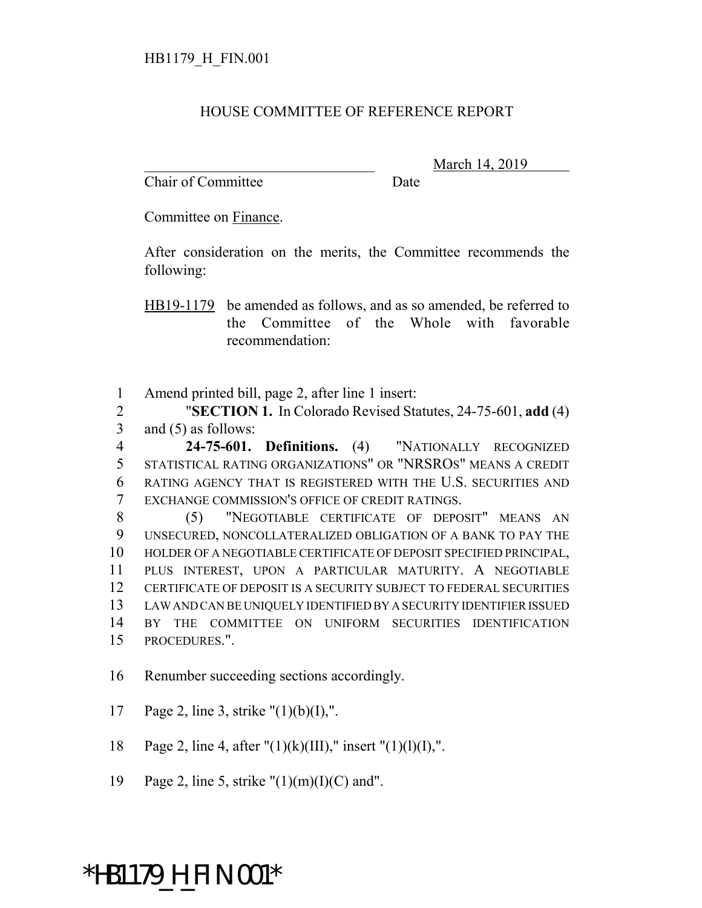## HOUSE COMMITTEE OF REFERENCE REPORT

Chair of Committee Date

March 14, 2019

Committee on Finance.

After consideration on the merits, the Committee recommends the following:

HB19-1179 be amended as follows, and as so amended, be referred to the Committee of the Whole with favorable recommendation:

1 Amend printed bill, page 2, after line 1 insert:

2 "**SECTION 1.** In Colorado Revised Statutes, 24-75-601, **add** (4) 3 and (5) as follows:

 **24-75-601. Definitions.** (4) "NATIONALLY RECOGNIZED STATISTICAL RATING ORGANIZATIONS" OR "NRSROS" MEANS A CREDIT RATING AGENCY THAT IS REGISTERED WITH THE U.S. SECURITIES AND EXCHANGE COMMISSION'S OFFICE OF CREDIT RATINGS.

 (5) "NEGOTIABLE CERTIFICATE OF DEPOSIT" MEANS AN UNSECURED, NONCOLLATERALIZED OBLIGATION OF A BANK TO PAY THE HOLDER OF A NEGOTIABLE CERTIFICATE OF DEPOSIT SPECIFIED PRINCIPAL, PLUS INTEREST, UPON A PARTICULAR MATURITY. A NEGOTIABLE CERTIFICATE OF DEPOSIT IS A SECURITY SUBJECT TO FEDERAL SECURITIES LAW AND CAN BE UNIQUELY IDENTIFIED BY A SECURITY IDENTIFIER ISSUED BY THE COMMITTEE ON UNIFORM SECURITIES IDENTIFICATION PROCEDURES.".

16 Renumber succeeding sections accordingly.

17 Page 2, line 3, strike "(1)(b)(I),".

18 Page 2, line 4, after " $(1)(k)(III)$ ," insert " $(1)(1)(I)$ ,".

19 Page 2, line 5, strike " $(1)(m)(I)(C)$  and".

## \*HB1179\_H\_FIN.001\*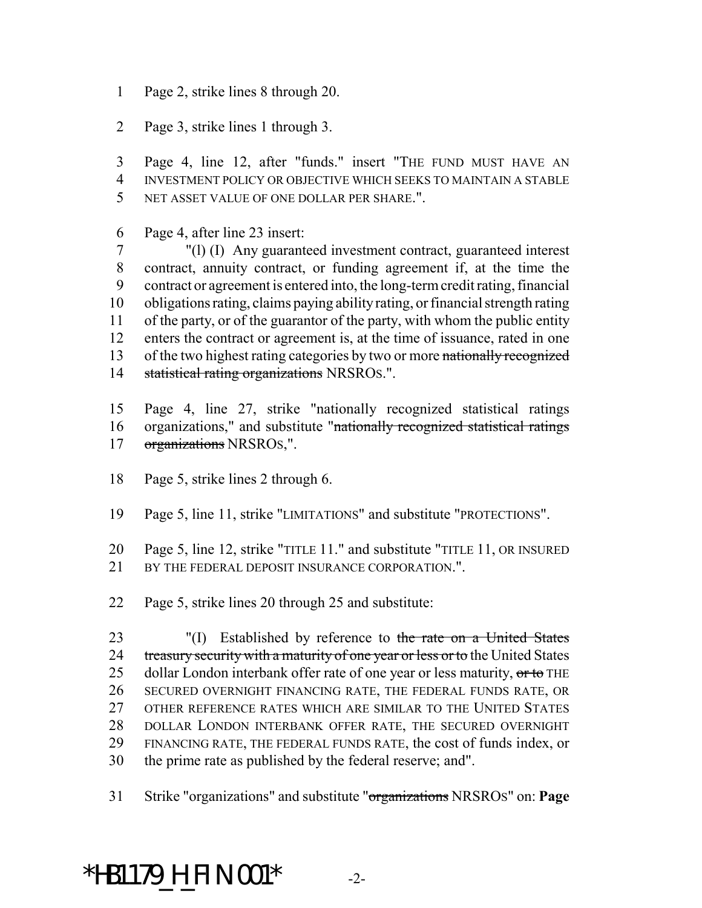- Page 2, strike lines 8 through 20.
- Page 3, strike lines 1 through 3.

 Page 4, line 12, after "funds." insert "THE FUND MUST HAVE AN INVESTMENT POLICY OR OBJECTIVE WHICH SEEKS TO MAINTAIN A STABLE NET ASSET VALUE OF ONE DOLLAR PER SHARE.".

Page 4, after line 23 insert:

 "(l) (I) Any guaranteed investment contract, guaranteed interest contract, annuity contract, or funding agreement if, at the time the contract or agreement is entered into, the long-term credit rating, financial obligations rating, claims paying ability rating, or financial strength rating of the party, or of the guarantor of the party, with whom the public entity enters the contract or agreement is, at the time of issuance, rated in one 13 of the two highest rating categories by two or more nationally recognized 14 statistical rating organizations NRSROS.".

 Page 4, line 27, strike "nationally recognized statistical ratings organizations," and substitute "nationally recognized statistical ratings organizations NRSROS,".

- Page 5, strike lines 2 through 6.
- Page 5, line 11, strike "LIMITATIONS" and substitute "PROTECTIONS".
- Page 5, line 12, strike "TITLE 11." and substitute "TITLE 11, OR INSURED 21 BY THE FEDERAL DEPOSIT INSURANCE CORPORATION."
- Page 5, strike lines 20 through 25 and substitute:

23 "(I) Established by reference to the rate on a United States 24 treasury security with a maturity of one year or less or to the United States 25 dollar London interbank offer rate of one year or less maturity, or to THE SECURED OVERNIGHT FINANCING RATE, THE FEDERAL FUNDS RATE, OR 27 OTHER REFERENCE RATES WHICH ARE SIMILAR TO THE UNITED STATES DOLLAR LONDON INTERBANK OFFER RATE, THE SECURED OVERNIGHT FINANCING RATE, THE FEDERAL FUNDS RATE, the cost of funds index, or the prime rate as published by the federal reserve; and".

Strike "organizations" and substitute "organizations NRSROS" on: **Page**

\*HB1179\_H\_FIN.001\* -2-